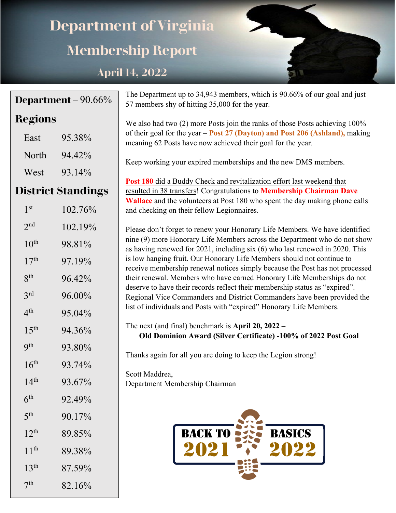# **Department of Virginia Membership Report**

# **April 14, 2022**

|                  | Department – $90.66\%$    | The Department up to 34,943 members, which is 90.66% of our goal and just<br>57 members shy of hitting 35,000 for the year.                               |
|------------------|---------------------------|-----------------------------------------------------------------------------------------------------------------------------------------------------------|
| <b>Regions</b>   |                           | We also had two (2) more Posts join the ranks of those Posts achieving 100%                                                                               |
| East             | 95.38%                    | of their goal for the year - Post 27 (Dayton) and Post 206 (Ashland), making<br>meaning 62 Posts have now achieved their goal for the year.               |
| North            | 94.42%                    | Keep working your expired memberships and the new DMS members.                                                                                            |
| West             | 93.14%                    |                                                                                                                                                           |
|                  | <b>District Standings</b> | Post 180 did a Buddy Check and revitalization effort last weekend that<br>resulted in 38 transfers! Congratulations to Membership Chairman Dave           |
| 1 <sup>st</sup>  | 102.76%                   | <b>Wallace</b> and the volunteers at Post 180 who spent the day making phone calls<br>and checking on their fellow Legionnaires.                          |
| 2 <sup>nd</sup>  | 102.19%                   | Please don't forget to renew your Honorary Life Members. We have identified                                                                               |
| $10^{\text{th}}$ | 98.81%                    | nine (9) more Honorary Life Members across the Department who do not show<br>as having renewed for 2021, including six (6) who last renewed in 2020. This |
| 17 <sup>th</sup> | 97.19%                    | is low hanging fruit. Our Honorary Life Members should not continue to<br>receive membership renewal notices simply because the Post has not processed    |
| 8 <sup>th</sup>  | 96.42%                    | their renewal. Members who have earned Honorary Life Memberships do not                                                                                   |
| 3 <sup>rd</sup>  | 96.00%                    | deserve to have their records reflect their membership status as "expired".<br>Regional Vice Commanders and District Commanders have been provided the    |
| 4 <sup>th</sup>  | 95.04%                    | list of individuals and Posts with "expired" Honorary Life Members.                                                                                       |
| 15 <sup>th</sup> | 94.36%                    | The next (and final) benchmark is April $20$ , $2022 -$<br>Old Dominion Award (Silver Certificate) -100% of 2022 Post Goal                                |
| 9 <sup>th</sup>  | 93.80%                    | Thanks again for all you are doing to keep the Legion strong!                                                                                             |
| 16 <sup>th</sup> | 93.74%                    |                                                                                                                                                           |
| 14 <sup>th</sup> | 93.67%                    | Scott Maddrea,<br>Department Membership Chairman                                                                                                          |
| 6 <sup>th</sup>  | 92.49%                    |                                                                                                                                                           |
| 5 <sup>th</sup>  | 90.17%                    |                                                                                                                                                           |
| 12 <sup>th</sup> | 89.85%                    | <b>BACK TO</b><br><b>BASICS</b>                                                                                                                           |
| 11 <sup>th</sup> | 89.38%                    |                                                                                                                                                           |
| 13 <sup>th</sup> | 87.59%                    |                                                                                                                                                           |
| 7 <sup>th</sup>  | 82.16%                    |                                                                                                                                                           |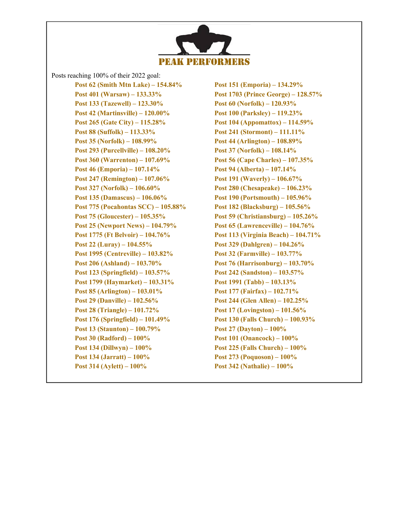

Posts reaching 100% of their 2022 goal:

**Post 62 (Smith Mtn Lake) – 154.84% Post 151 (Emporia) – 134.29% Post 401 (Warsaw) – 133.33% Post 1703 (Prince George) – 128.57% Post 133 (Tazewell) – 123.30% Post 60 (Norfolk) – 120.93% Post 42 (Martinsville) – 120.00% Post 100 (Parksley) – 119.23% Post 265 (Gate City) – 115.28% Post 104 (Appomattox) – 114.59% Post 88 (Suffolk) – 113.33% Post 241 (Stormont) – 111.11% Post 35 (Norfolk) – 108.99% Post 44 (Arlington) – 108.89% Post 293 (Purcellville) – 108.20% Post 37 (Norfolk) – 108.14% Post 360 (Warrenton) – 107.69% Post 56 (Cape Charles) – 107.35% Post 46 (Emporia) – 107.14% Post 94 (Alberta) – 107.14% Post 247 (Remington) – 107.06% Post 191 (Waverly) – 106.67% Post 327 (Norfolk) – 106.60% Post 280 (Chesapeake) – 106.23% Post 135 (Damascus) – 106.06% Post 190 (Portsmouth) – 105.96% Post 775 (Pocahontas SCC) – 105.88% Post 182 (Blacksburg) – 105.56% Post 75 (Gloucester) – 105.35% Post 59 (Christiansburg) – 105.26% Post 25 (Newport News) – 104.79% Post 65 (Lawrenceville) – 104.76% Post 1775 (Ft Belvoir) – 104.76% Post 113 (Virginia Beach) – 104.71% Post 22 (Luray) – 104.55% Post 329 (Dahlgren) – 104.26% Post 1995 (Centreville) – 103.82% Post 32 (Farmville) – 103.77% Post 206 (Ashland) – 103.70% Post 76 (Harrisonburg) – 103.70% Post 123 (Springfield) – 103.57% Post 242 (Sandston) – 103.57% Post 1799 (Haymarket) – 103.31% Post 1991 (Tabb) – 103.13% Post 85 (Arlington) – 103.01% Post 177 (Fairfax) – 102.71% Post 29 (Danville) – 102.56% Post 244 (Glen Allen) – 102.25% Post 28 (Triangle) – 101.72% Post 17 (Lovingston) – 101.56% Post 176 (Springfield) – 101.49% Post 130 (Falls Church) – 100.93% Post 13 (Staunton) – 100.79% Post 27 (Dayton) – 100% Post 30 (Radford) – 100% Post 101 (Onancock) – 100% Post 134 (Dillwyn) – 100% Post 225 (Falls Church) – 100% Post 134 (Jarratt) – 100% Post 273 (Poquoson) – 100% Post 314 (Aylett) – 100% Post 342 (Nathalie) – 100%**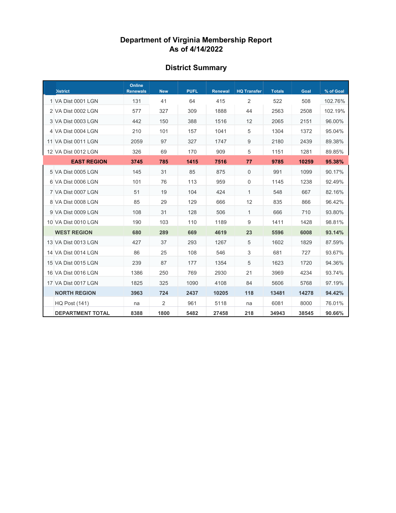# **District Summary**

| <b>District</b>         | Online<br><b>Renewals</b> | <b>New</b> | <b>PUFL</b> | <b>Renewal</b> | <b>HQ Transfer</b> | <b>Totals</b> | Goal  | % of Goal |
|-------------------------|---------------------------|------------|-------------|----------------|--------------------|---------------|-------|-----------|
| 1 VA Dist 0001 LGN      | 131                       | 41         | 64          | 415            | 2                  | 522           | 508   | 102.76%   |
| 2 VA Dist 0002 LGN      | 577                       | 327        | 309         | 1888           | 44                 | 2563          | 2508  | 102.19%   |
| 3 VA Dist 0003 LGN      | 442                       | 150        | 388         | 1516           | 12                 | 2065          | 2151  | 96.00%    |
| 4 VA Dist 0004 LGN      | 210                       | 101        | 157         | 1041           | 5                  | 1304          | 1372  | 95.04%    |
| 11 VA Dist 0011 LGN     | 2059                      | 97         | 327         | 1747           | 9                  | 2180          | 2439  | 89.38%    |
| 12 VA Dist 0012 LGN     | 326                       | 69         | 170         | 909            | 5                  | 1151          | 1281  | 89.85%    |
| <b>EAST REGION</b>      | 3745                      | 785        | 1415        | 7516           | 77                 | 9785          | 10259 | 95.38%    |
| 5 VA Dist 0005 LGN      | 145                       | 31         | 85          | 875            | $\mathbf 0$        | 991           | 1099  | 90.17%    |
| 6 VA Dist 0006 LGN      | 101                       | 76         | 113         | 959            | $\mathbf 0$        | 1145          | 1238  | 92.49%    |
| 7 VA Dist 0007 LGN      | 51                        | 19         | 104         | 424            | 1                  | 548           | 667   | 82.16%    |
| 8 VA Dist 0008 LGN      | 85                        | 29         | 129         | 666            | 12                 | 835           | 866   | 96.42%    |
| 9 VA Dist 0009 LGN      | 108                       | 31         | 128         | 506            | 1                  | 666           | 710   | 93.80%    |
| 10 VA Dist 0010 LGN     | 190                       | 103        | 110         | 1189           | 9                  | 1411          | 1428  | 98.81%    |
| <b>WEST REGION</b>      | 680                       | 289        | 669         | 4619           | 23                 | 5596          | 6008  | 93.14%    |
| 13 VA Dist 0013 LGN     | 427                       | 37         | 293         | 1267           | 5                  | 1602          | 1829  | 87.59%    |
| 14 VA Dist 0014 LGN     | 86                        | 25         | 108         | 546            | 3                  | 681           | 727   | 93.67%    |
| 15 VA Dist 0015 LGN     | 239                       | 87         | 177         | 1354           | 5                  | 1623          | 1720  | 94.36%    |
| 16 VA Dist 0016 LGN     | 1386                      | 250        | 769         | 2930           | 21                 | 3969          | 4234  | 93.74%    |
| 17 VA Dist 0017 LGN     | 1825                      | 325        | 1090        | 4108           | 84                 | 5606          | 5768  | 97.19%    |
| <b>NORTH REGION</b>     | 3963                      | 724        | 2437        | 10205          | 118                | 13481         | 14278 | 94.42%    |
| <b>HQ Post (141)</b>    | na                        | 2          | 961         | 5118           | na                 | 6081          | 8000  | 76.01%    |
| <b>DEPARTMENT TOTAL</b> | 8388                      | 1800       | 5482        | 27458          | 218                | 34943         | 38545 | 90.66%    |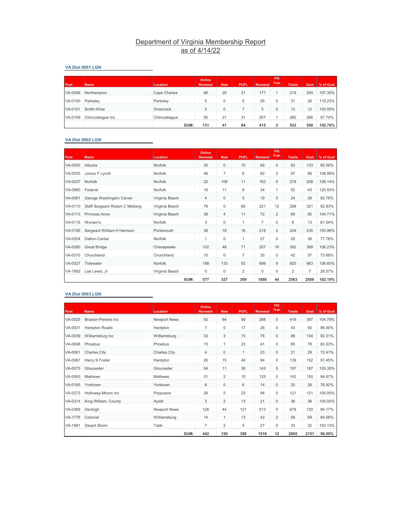#### **VA Dist 0001 LGN**

| Post    | <b>Name</b>      | <b>Location</b> | <b>Online</b><br><b>Renewal</b> | <b>New</b> | <b>PUFL</b> | Renewall | HQ<br>Tran | <b>Totals</b> | Goal | % of Goal |
|---------|------------------|-----------------|---------------------------------|------------|-------------|----------|------------|---------------|------|-----------|
| VA-0056 | Northampton      | Cape Charles    | 66                              | 20         | 21          | 177      |            | 219           | 204  | 107.35%   |
| VA-0100 | Parkslev         | Parksley        | 5                               | 0          | 5           | 26       | 0          | 31            | 26   | 119.23%   |
| VA-0101 | Smith-Wise       | Onancock        | 5                               | 0          |             | 5        | 0          | 12            | 12   | 100.00%   |
| VA-0159 | Chincoteague Inc | Chincoteague    | 55                              | 21         | 31          | 207      |            | 260           | 266  | 97.74%    |
|         |                  | SUM:            | 131                             | 41         | 64          | 415      | 2          | 522           | 508  | 102.76%   |

#### **VA Dist 0002 LGN**

| Post,   | <b>Name</b>                     | Location       | <b>Online</b><br><b>Renewal</b> | <b>New</b>  | <b>PUFL</b>    | <b>Renewal</b> | HQ<br><b>Tran</b> | <b>Totals</b>  | Goal | % of Goal |
|---------|---------------------------------|----------------|---------------------------------|-------------|----------------|----------------|-------------------|----------------|------|-----------|
| VA-0005 | <b>Attucks</b>                  | Norfolk        | 30                              | $\mathbf 0$ | 15             | 68             | $\mathbf 0$       | 83             | 103  | 80.58%    |
| VA-0035 | Junius F Lynch                  | Norfolk        | 48                              | 7           | 6              | 82             | $\overline{2}$    | 97             | 89   | 108.99%   |
| VA-0037 | Norfolk                         | Norfolk        | 22                              | 106         | 11             | 162            | $\mathbf 0$       | 279            | 258  | 108.14%   |
| VA-0060 | Federal                         | Norfolk        | 16                              | 11          | 6              | 34             | 1                 | 52             | 43   | 120.93%   |
| VA-0081 | George Washington Carver        | Virginia Beach | $\overline{4}$                  | $\mathbf 0$ | 5              | 19             | $\mathbf 0$       | 24             | 29   | 82.76%    |
| VA-0110 | Staff Sergeant Robert C Melberg | Virginia Beach | 79                              | 0           | 65             | 221            | 12                | 298            | 321  | 92.83%    |
| VA-0113 | <b>Princess Anne</b>            | Virginia Beach | 38                              | 4           | 11             | 72             | $\overline{2}$    | 89             | 85   | 104.71%   |
| VA-0118 | Women's                         | Norfolk        | 3                               | 0           | 1              | $\overline{7}$ | 0                 | 8              | 13   | 61.54%    |
| VA-0190 | Sergeant William H Harrison     | Portsmouth     | 36                              | 18          | 16             | 218            | $\overline{2}$    | 249            | 235  | 105.96%   |
| VA-0204 | Dalton-Cartier                  | Norfolk        |                                 | $\Omega$    | 1              | 27             | 0                 | 28             | 36   | 77.78%    |
| VA-0280 | <b>Great Bridge</b>             | Chesapeake     | 102                             | 48          | 71             | 257            | 16                | 392            | 369  | 106.23%   |
| VA-0310 | Churchland                      | Churchland     | 10                              | $\mathbf 0$ | $\overline{7}$ | 35             | 0                 | 42             | 57   | 73.68%    |
| VA-0327 | Tidewater                       | Norfolk        | 188                             | 133         | 92             | 686            | 9                 | 920            | 863  | 106.60%   |
| VA-1992 | Lee Lewis, Jr.                  | Virginia Beach | $\Omega$                        | $\Omega$    | $\overline{2}$ | $\Omega$       | 0                 | $\overline{2}$ | 7    | 28.57%    |
|         |                                 | SUM:           | 577                             | 327         | 309            | 1888           | 44                | 2563           | 2508 | 102.19%   |

#### **VA Dist 0003 LGN**

| Post    | Name                 | Location            | Online<br><b>Renewal</b> | <b>New</b>     | <b>PUFL</b>    | <b>Renewal</b> | HQ<br>Tran  | <b>Totals</b> | Goal | % of Goal |
|---------|----------------------|---------------------|--------------------------|----------------|----------------|----------------|-------------|---------------|------|-----------|
| VA-0025 | Braxton-Perkins Inc. | <b>Newport News</b> | 92                       | 64             | 59             | 288            | 5           | 416           | 397  | 104.79%   |
| VA-0031 | <b>Hampton Roads</b> | Hampton             | $\overline{7}$           | 0              | 17             | 26             | 0           | 43            | 50   | 86.00%    |
| VA-0039 | Williamsburg Inc     | Williamsburg        | 33                       | 3              | 15             | 78             | $\mathbf 0$ | 96            | 104  | 92.31%    |
| VA-0048 | Phoebus              | Phoebus             | 13                       | 1              | 23             | 41             | 0           | 65            | 78   | 83.33%    |
| VA-0061 | <b>Charles City</b>  | <b>Charles City</b> | $\overline{4}$           | $\mathbf 0$    | $\mathbf{1}$   | 20             | $\mathbf 0$ | 21            | 29   | 72.41%    |
| VA-0067 | Harry S Foster       | Hampton             | 26                       | 15             | 40             | 84             | 0           | 139           | 152  | 91.45%    |
| VA-0075 | Gloucester           | Gloucester          | 54                       | 11             | 38             | 143            | 5           | 197           | 187  | 105.35%   |
| VA-0083 | Mathews              | Mathews             | 31                       | $\overline{2}$ | 15             | 125            | 0           | 142           | 150  | 94.67%    |
| VA-0165 | Yorktown             | Yorktown            | 6                        | 0              | 6              | 14             | $\mathbf 0$ | 20            | 26   | 76.92%    |
| VA-0273 | Holloway-Moore Inc   | Poquoson            | 26                       | 5              | 23             | 94             | 0           | 121           | 121  | 100.00%   |
| VA-0314 | King William, County | Aylett              | 3                        | $\overline{2}$ | 13             | 21             | $\mathbf 0$ | 36            | 36   | 100.00%   |
| VA-0368 | Denbigh              | <b>Newport News</b> | 126                      | 44             | 121            | 513            | 0           | 678           | 720  | 94.17%    |
| VA-1776 | Colonial             | Williamsburg        | 14                       | $\mathbf{1}$   | 13             | 42             | 2           | 58            | 69   | 84.06%    |
| VA-1991 | Desert Storm         | Tabb                | $\overline{7}$           | $\overline{2}$ | $\overline{4}$ | 27             | 0           | 33            | 32   | 103.13%   |
|         |                      | SUM:                | 442                      | 150            | 388            | 1516           | 12          | 2065          | 2151 | 96.00%    |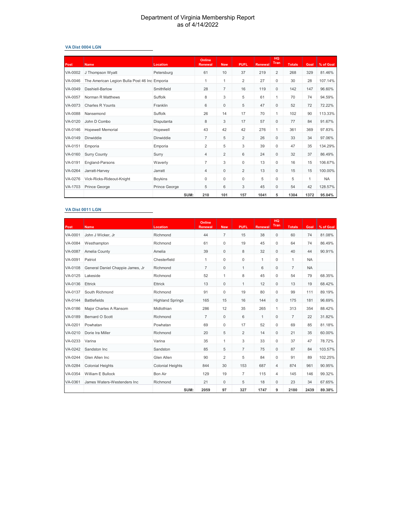#### **VA Dist 0004 LGN**

| Post    | <b>Name</b>                                   | Location             | Online<br><b>Renewal</b> | <b>New</b>     | <b>PUFL</b>    | <b>Renewal</b> | <b>HQ</b><br>Tran | <b>Totals</b> | Goal         | % of Goal |
|---------|-----------------------------------------------|----------------------|--------------------------|----------------|----------------|----------------|-------------------|---------------|--------------|-----------|
| VA-0002 | J Thompson Wyatt                              | Petersburg           | 61                       | 10             | 37             | 219            | $\overline{2}$    | 268           | 329          | 81.46%    |
| VA-0046 | The American Legion Bulla Post 46 Inc Emporia |                      | 1                        | 1              | $\overline{2}$ | 27             | 0                 | 30            | 28           | 107.14%   |
| VA-0049 | Dashiell-Barlow                               | Smithfield           | 28                       | $\overline{7}$ | 16             | 119            | $\mathbf{0}$      | 142           | 147          | 96.60%    |
| VA-0057 | Norman R Matthews                             | Suffolk              | 8                        | 3              | 5              | 61             | 1                 | 70            | 74           | 94.59%    |
| VA-0073 | Charles R Younts                              | Franklin             | 6                        | $\mathbf 0$    | 5              | 47             | $\mathbf 0$       | 52            | 72           | 72.22%    |
| VA-0088 | Nansemond                                     | Suffolk              | 26                       | 14             | 17             | 70             | 1                 | 102           | 90           | 113.33%   |
| VA-0120 | John D Combo                                  | Disputanta           | 8                        | 3              | 17             | 57             | $\mathbf 0$       | 77            | 84           | 91.67%    |
| VA-0146 | <b>Hopewell Memorial</b>                      | Hopewell             | 43                       | 42             | 42             | 276            | 1                 | 361           | 369          | 97.83%    |
| VA-0149 | Dinwiddie                                     | Dinwiddie            | $\overline{7}$           | 5              | $\overline{2}$ | 26             | $\mathbf 0$       | 33            | 34           | 97.06%    |
| VA-0151 | Emporia                                       | Emporia              | 2                        | 5              | 3              | 39             | 0                 | 47            | 35           | 134.29%   |
| VA-0160 | <b>Surry County</b>                           | Surry                | $\overline{4}$           | $\overline{2}$ | 6              | 24             | $\mathbf 0$       | 32            | 37           | 86.49%    |
| VA-0191 | England-Parsons                               | Waverly              | $\overline{7}$           | 3              | 0              | 13             | 0                 | 16            | 15           | 106.67%   |
| VA-0264 | Jarratt-Harvev                                | Jarratt              | 4                        | $\Omega$       | $\overline{2}$ | 13             | $\Omega$          | 15            | 15           | 100.00%   |
| VA-0276 | Vick-Ricks-Rideout-Knight                     | Boykins              | 0                        | 0              | 0              | 5              | 0                 | 5             | $\mathbf{1}$ | <b>NA</b> |
| VA-1703 | Prince George                                 | <b>Prince George</b> | 5                        | 6              | 3              | 45             | $\mathbf 0$       | 54            | 42           | 128.57%   |
|         |                                               | SUM:                 | 210                      | 101            | 157            | 1041           | 5                 | 1304          | 1372         | 95.04%    |

#### **VA Dist 0011 LGN**

| Post    | <b>Name</b>                      | Location                | Online<br><b>Renewal</b> | <b>New</b>     | <b>PUFL</b>    | <b>Renewal</b> | HQ<br>Tran     | <b>Totals</b>  | Goal      | % of Goal |
|---------|----------------------------------|-------------------------|--------------------------|----------------|----------------|----------------|----------------|----------------|-----------|-----------|
| VA-0001 | John J Wicker, Jr                | Richmond                | 44                       | $\overline{7}$ | 15             | 38             | $\mathbf 0$    | 60             | 74        | 81.08%    |
| VA-0084 | Westhampton                      | Richmond                | 61                       | 0              | 19             | 45             | 0              | 64             | 74        | 86.49%    |
| VA-0087 | Amelia County                    | Amelia                  | 39                       | $\mathbf 0$    | 8              | 32             | $\mathbf 0$    | 40             | 44        | 90.91%    |
| VA-0091 | Patriot                          | Chesterfield            | 1                        | $\Omega$       | $\mathbf 0$    | $\mathbf{1}$   | $\Omega$       | $\mathbf{1}$   | <b>NA</b> |           |
| VA-0108 | General Daniel Chappie James, Jr | Richmond                | $\overline{7}$           | $\mathbf 0$    | $\mathbf{1}$   | 6              | $\mathbf 0$    | $\overline{7}$ | <b>NA</b> |           |
| VA-0125 | Lakeside                         | Richmond                | 52                       | 1              | 8              | 45             | $\Omega$       | 54             | 79        | 68.35%    |
| VA-0136 | Ettrick                          | <b>Ettrick</b>          | 13                       | 0              | $\mathbf{1}$   | 12             | $\mathbf 0$    | 13             | 19        | 68.42%    |
| VA-0137 | South Richmond                   | Richmond                | 91                       | 0              | 19             | 80             | 0              | 99             | 111       | 89.19%    |
| VA-0144 | <b>Battlefields</b>              | <b>Highland Springs</b> | 165                      | 15             | 16             | 144            | $\mathbf 0$    | 175            | 181       | 96.69%    |
| VA-0186 | Major Charles A Ransom           | Midlothian              | 286                      | 12             | 35             | 265            | $\mathbf{1}$   | 313            | 354       | 88.42%    |
| VA-0189 | Bernard O Scott                  | Richmond                | $\overline{7}$           | $\mathbf 0$    | 6              | $\mathbf{1}$   | $\mathbf 0$    | $\overline{7}$ | 22        | 31.82%    |
| VA-0201 | Powhatan                         | Powhatan                | 69                       | 0              | 17             | 52             | 0              | 69             | 85        | 81.18%    |
| VA-0210 | Dorie Ira Miller                 | Richmond                | 20                       | 5              | $\overline{2}$ | 14             | $\mathbf 0$    | 21             | 35        | 60.00%    |
| VA-0233 | Varina                           | Varina                  | 35                       | 1              | 3              | 33             | 0              | 37             | 47        | 78.72%    |
| VA-0242 | Sandston Inc                     | Sandston                | 85                       | 5              | $\overline{7}$ | 75             | 0              | 87             | 84        | 103.57%   |
| VA-0244 | Glen Allen Inc                   | Glen Allen              | 90                       | 2              | 5              | 84             | 0              | 91             | 89        | 102.25%   |
| VA-0284 | <b>Colonial Heights</b>          | <b>Colonial Heights</b> | 844                      | 30             | 153            | 687            | $\overline{4}$ | 874            | 961       | 90.95%    |
| VA-0354 | William E Bullock                | <b>Bon Air</b>          | 129                      | 19             | $\overline{7}$ | 115            | $\overline{4}$ | 145            | 146       | 99.32%    |
| VA-0361 | James Waters-Westenders Inc      | Richmond                | 21                       | 0              | 5              | 18             | $\mathbf 0$    | 23             | 34        | 67.65%    |
|         |                                  | SUM:                    | 2059                     | 97             | 327            | 1747           | 9              | 2180           | 2439      | 89.38%    |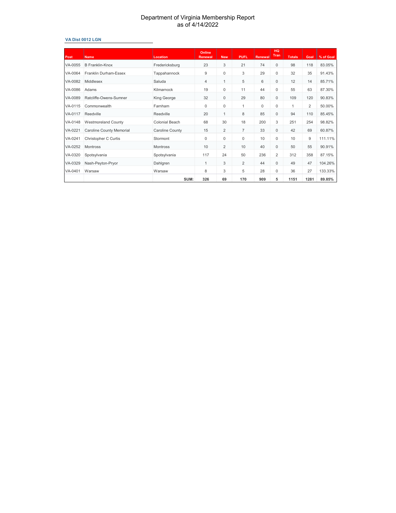#### **VA Dist 0012 LGN**

| <b>Post</b> | Name                       | <b>Location</b>       | <b>Online</b><br><b>Renewal</b> | <b>New</b>     | <b>PUFL</b>    | Renewal | <b>HQ</b><br>Tran | <b>Totals</b> | Goal | % of Goal |
|-------------|----------------------------|-----------------------|---------------------------------|----------------|----------------|---------|-------------------|---------------|------|-----------|
| VA-0055     | <b>B</b> Franklin-Knox     | Fredericksburg        | 23                              | 3              | 21             | 74      | $\mathbf{0}$      | 98            | 118  | 83.05%    |
| VA-0064     | Franklin Durham-Essex      | Tappahannock          | 9                               | 0              | 3              | 29      | $\mathbf 0$       | 32            | 35   | 91.43%    |
| VA-0082     | Middlesex                  | Saluda                | 4                               | $\mathbf{1}$   | 5              | 6       | $\mathbf{0}$      | 12            | 14   | 85.71%    |
| VA-0086     | Adams                      | Kilmarnock            | 19                              | 0              | 11             | 44      | $\mathbf 0$       | 55            | 63   | 87.30%    |
| VA-0089     | Ratcliffe-Owens-Sumner     | King George           | 32                              | $\mathbf 0$    | 29             | 80      | $\mathbf{0}$      | 109           | 120  | 90.83%    |
| VA-0115     | Commonwealth               | Farnham               | 0                               | 0              | 1              | 0       | $\mathbf 0$       | 1             | 2    | 50.00%    |
| VA-0117     | Reedville                  | Reedville             | 20                              | $\mathbf{1}$   | 8              | 85      | $\mathbf{0}$      | 94            | 110  | 85.45%    |
| VA-0148     | <b>Westmoreland County</b> | <b>Colonial Beach</b> | 68                              | 30             | 18             | 200     | 3                 | 251           | 254  | 98.82%    |
| VA-0221     | Caroline County Memorial   | Caroline County       | 15                              | $\overline{2}$ | 7              | 33      | $\mathbf{0}$      | 42            | 69   | 60.87%    |
| VA-0241     | Christopher C Curtis       | Stormont              | $\Omega$                        | 0              | 0              | 10      | $\mathbf 0$       | 10            | 9    | 111.11%   |
| VA-0252     | Montross                   | <b>Montross</b>       | 10                              | $\overline{2}$ | 10             | 40      | $\mathbf{0}$      | 50            | 55   | 90.91%    |
| VA-0320     | Spotsylvania               | Spotsylvania          | 117                             | 24             | 50             | 236     | $\overline{2}$    | 312           | 358  | 87.15%    |
| VA-0329     | Nash-Peyton-Pryor          | Dahlgren              | 1                               | 3              | $\overline{2}$ | 44      | $\mathbf 0$       | 49            | 47   | 104.26%   |
| VA-0401     | Warsaw                     | Warsaw                | 8                               | 3              | 5              | 28      | $\mathbf 0$       | 36            | 27   | 133.33%   |
|             |                            | SUM:                  | 326                             | 69             | 170            | 909     | 5                 | 1151          | 1281 | 89.85%    |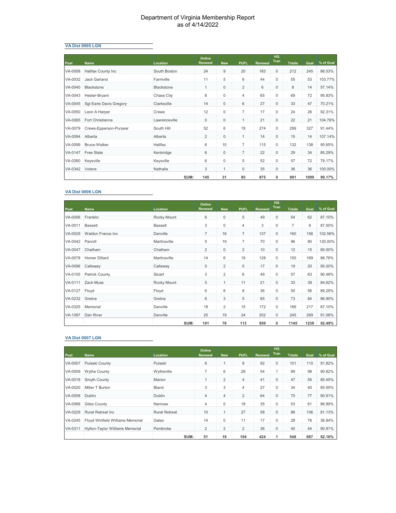#### **VA Dist 0005 LGN**

| Post    | <b>Name</b>             | Location      | Online<br><b>Renewal</b> | <b>New</b>   | <b>PUFL</b>    | <b>Renewal</b> | <b>HQ</b><br>Tran | <b>Totals</b> | Goal | % of Goal |
|---------|-------------------------|---------------|--------------------------|--------------|----------------|----------------|-------------------|---------------|------|-----------|
| VA-0008 | Halifax County Inc      | South Boston  | 24                       | 9            | 20             | 183            | $\mathbf{0}$      | 212           | 245  | 86.53%    |
| VA-0032 | Jack Garland            | Farmville     | 11                       | 5            | 6              | 44             | 0                 | 55            | 53   | 103.77%   |
| VA-0040 | Blackstone              | Blackstone    | $\mathbf{1}$             | $\mathbf 0$  | $\overline{2}$ | 6              | $\mathbf 0$       | 8             | 14   | 57.14%    |
| VA-0043 | Hester-Bryant           | Chase City    | 8                        | 0            | $\overline{4}$ | 65             | 0                 | 69            | 72   | 95.83%    |
| VA-0045 | Sqt Earle Davis Gregory | Clarksville   | 14                       | $\mathbf 0$  | 6              | 27             | $\mathbf{0}$      | 33            | 47   | 70.21%    |
| VA-0050 | Leon A Harper           | Crewe         | 12                       | $\mathbf 0$  | $\overline{7}$ | 17             | 0                 | 24            | 26   | 92.31%    |
| VA-0065 | Fort Christianna        | Lawrenceville | $\mathbf{0}$             | $\mathbf 0$  | $\mathbf{1}$   | 21             | $\mathbf 0$       | 22            | 21   | 104.76%   |
| VA-0079 | Crews-Epperson-Puryear  | South Hill    | 52                       | 6            | 19             | 274            | $\mathbf 0$       | 299           | 327  | 91.44%    |
| VA-0094 | Alberta                 | Alberta       | $\overline{2}$           | $\mathbf 0$  | $\mathbf{1}$   | 14             | $\mathbf{0}$      | 15            | 14   | 107.14%   |
| VA-0099 | Bruce-Walker            | Halifax       | 6                        | 10           | $\overline{7}$ | 115            | $\mathbf 0$       | 132           | 138  | 95.65%    |
| VA-0147 | Free State              | Kenbridge     | 6                        | $\mathbf 0$  | $\overline{7}$ | 22             | $\mathbf 0$       | 29            | 34   | 85.29%    |
| VA-0260 | Keysville               | Keysville     | 6                        | 0            | 5              | 52             | 0                 | 57            | 72   | 79.17%    |
| VA-0342 | Volens                  | Nathalie      | 3                        | $\mathbf{1}$ | 0              | 35             | $\mathbf{0}$      | 36            | 36   | 100.00%   |
|         |                         | SUM:          | 145                      | 31           | 85             | 875            | 0                 | 991           | 1099 | 90.17%    |

#### **VA Dist 0006 LGN**

| Post    | <b>Name</b>               | Location       | Online<br>Renewal | <b>New</b>     | <b>PUFL</b>    | Renewal | HQ<br>Tran          | <b>Totals</b>  | Goal | % of Goal |
|---------|---------------------------|----------------|-------------------|----------------|----------------|---------|---------------------|----------------|------|-----------|
| VA-0006 | Franklin                  | Rocky Mount    | 6                 | $\mathbf 0$    | 5              | 49      | $\mathbf{0}$        | 54             | 62   | 87.10%    |
| VA-0011 | <b>Bassett</b>            | <b>Bassett</b> | 3                 | $\mathbf 0$    | 4              | 3       | $\mathbf 0$         | $\overline{7}$ | 8    | 87.50%    |
| VA-0029 | <b>Waldon France Inc.</b> | Danville       | $\overline{7}$    | 16             | $\overline{7}$ | 137     | $\mathbf{0}$        | 160            | 156  | 102.56%   |
| VA-0042 | Pannill                   | Martinsville   | 5                 | 19             | $\overline{7}$ | 70      | $\mathbf 0$         | 96             | 80   | 120.00%   |
| VA-0047 | Chatham                   | Chatham        | $\overline{2}$    | 0              | $\overline{2}$ | 10      | $\mathsf{O}\xspace$ | 12             | 15   | 80.00%    |
| VA-0078 | <b>Homer Dillard</b>      | Martinsville   | 14                | 6              | 19             | 128     | $\mathbf 0$         | 150            | 169  | 88.76%    |
| VA-0096 | Callaway                  | Callaway       | $\mathbf{0}$      | $\overline{2}$ | $\mathbf 0$    | 17      | $\mathbf{0}$        | 19             | 20   | 95.00%    |
| VA-0105 | <b>Patrick County</b>     | Stuart         | 3                 | $\overline{2}$ | 6              | 49      | $\mathbf 0$         | 57             | 63   | 90.48%    |
| VA-0111 | Zack Muse                 | Rocky Mount    | 5                 | $\mathbf{1}$   | 11             | 21      | $\mathbf{0}$        | 33             | 39   | 84.62%    |
| VA-0127 | Floyd                     | Floyd          | 6                 | 6              | 8              | 36      | $\mathbf 0$         | 50             | 56   | 89.29%    |
| VA-0232 | Gretna                    | Gretna         | 6                 | 3              | 5              | 65      | $\mathbf{0}$        | 73             | 84   | 86.90%    |
| VA-0325 | Memorial                  | Danville       | 19                | $\overline{2}$ | 15             | 172     | $\mathbf 0$         | 189            | 217  | 87.10%    |
| VA-1097 | Dan River                 | Danville       | 25                | 19             | 24             | 202     | $\mathbf{0}$        | 245            | 269  | 91.08%    |
|         |                           | SUM:           | 101               | 76             | 113            | 959     | 0                   | 1145           | 1238 | 92.49%    |

#### **VA Dist 0007 LGN**

| <b>Post</b> | <b>Name</b>                      | Location             | Online<br><b>Renewal</b> | <b>New</b>     | <b>PUFL</b>    | Renewal | HQ<br>Tran   | <b>Totals</b> | Goal | % of Goal |
|-------------|----------------------------------|----------------------|--------------------------|----------------|----------------|---------|--------------|---------------|------|-----------|
| VA-0007     | Pulaski County                   | Pulaski              | 6                        | 1              | 8              | 92      | $\mathbf 0$  | 101           | 110  | 91.82%    |
| VA-0009     | <b>Wythe County</b>              | Wytheville           | 7                        | 6              | 28             | 54      |              | 89            | 98   | 90.82%    |
| VA-0018     | Smyth County                     | Marion               |                          | $\overline{2}$ | 4              | 41      | $\mathbf 0$  | 47            | 55   | 85.45%    |
| VA-0020     | Miller T Burton                  | Bland                | 3                        | 3              | 4              | 27      | 0            | 34            | 40   | 85.00%    |
| VA-0058     | <b>Dublin</b>                    | Dublin               | 4                        | 4              | $\overline{2}$ | 64      | $\mathbf 0$  | 70            | 77   | 90.91%    |
| VA-0068     | <b>Giles County</b>              | Narrows              | 4                        | 0              | 18             | 35      | 0            | 53            | 61   | 86.89%    |
| VA-0229     | <b>Rural Retreat Inc.</b>        | <b>Rural Retreat</b> | 10                       | 1              | 27             | 58      | $\mathbf 0$  | 86            | 106  | 81.13%    |
| VA-0245     | Floyd Winfield Williams Memorial | Galax                | 14                       | 0              | 11             | 17      | 0            | 28            | 76   | 36.84%    |
| VA-0311     | Hylton-Taylor Williams Memorial  | Pembroke             | 2                        | $\overline{2}$ | $\overline{2}$ | 36      | $\mathbf{0}$ | 40            | 44   | 90.91%    |
|             |                                  | SUM:                 | 51                       | 19             | 104            | 424     | 1            | 548           | 667  | 82.16%    |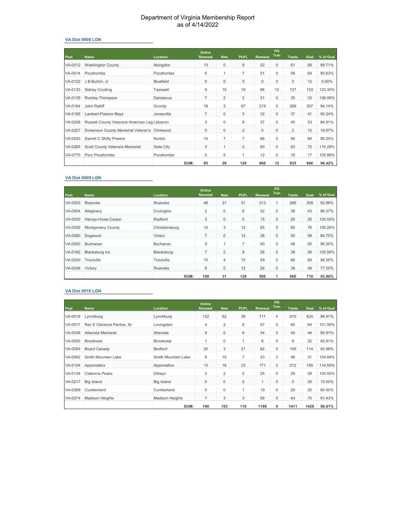#### **VA Dist 0008 LGN**

| Post    | <b>Name</b>                                   | Location         | Online<br><b>Renewal</b> | <b>New</b>     | <b>PUFL</b>    | <b>Renewal</b> | HQ<br>Tran   | <b>Totals</b>  | Goal | % of Goal |
|---------|-----------------------------------------------|------------------|--------------------------|----------------|----------------|----------------|--------------|----------------|------|-----------|
| VA-0012 | <b>Washington County</b>                      | Abingdon         | 13                       | $\mathbf 0$    | 9              | 52             | $\mathbf 0$  | 61             | 68   | 89.71%    |
| VA-0014 | Pocahontas                                    | Pocahontas       | 6                        | 1              | $\overline{7}$ | 51             | 0            | 58             | 64   | 90.63%    |
| VA-0122 | J B Burton, Jr                                | <b>Bluefield</b> | $\mathbf{0}$             | 0              | $\mathbf{0}$   | $\mathbf 0$    | $\mathbf 0$  | $\mathbf 0$    | 12   | $0.00\%$  |
| VA-0133 | <b>Sidney Coulling</b>                        | Tazewell         | 9                        | 10             | 19             | 86             | 12           | 127            | 103  | 123.30%   |
| VA-0135 | Rumley-Thompson                               | Damascus         | $\overline{7}$           | $\overline{2}$ | $\overline{2}$ | 31             | $\mathbf 0$  | 35             | 33   | 106.06%   |
| VA-0164 | John Ratliff                                  | Grundy           | 18                       | 3              | 67             | 219            | 0            | 289            | 307  | 94.14%    |
| VA-0185 | Lambert-Fleenor-Bays                          | Jonesville       | $\overline{7}$           | $\mathbf 0$    | 5              | 32             | $\mathbf 0$  | 37             | 41   | 90.24%    |
| VA-0208 | Russell County Veterans American Leg Lebanon  |                  | 3                        | 0              | 8              | 37             | 0            | 45             | 53   | 84.91%    |
| VA-0227 | Dickenson County Memorial Veteran's Clintwood |                  | $\mathbf{0}$             | 0              | $\overline{2}$ | $\mathbf 0$    | $\mathbf{0}$ | $\overline{2}$ | 12   | 16.67%    |
| VA-0243 | Darrell C Shifty Powers                       | Norton           | 14                       | $\overline{7}$ | $\overline{7}$ | 66             | $\mathbf 0$  | 80             | 84   | 95.24%    |
| VA-0265 | Scott County Veterans Memorial                | Gate City        | 3                        | 1              | $\overline{2}$ | 80             | $\mathbf{0}$ | 83             | 72   | 115.28%   |
| VA-0775 | Pscc Pocahontas                               | Pocahontas       | 5                        | 5              | 1              | 12             | 0            | 18             | 17   | 105.88%   |
|         |                                               | SUM:             | 85                       | 29             | 129            | 666            | 12           | 835            | 866  | 96.42%    |

#### **VA Dist 0009 LGN**

| Post    | <b>Name</b>        | Location       | Online<br><b>Renewal</b> | <b>New</b>     | <b>PUFL</b> | Renewal | <b>HQ</b><br><b>Tran</b> | <b>Totals</b> | Goal | % of Goal |
|---------|--------------------|----------------|--------------------------|----------------|-------------|---------|--------------------------|---------------|------|-----------|
|         |                    |                |                          |                |             |         |                          |               |      |           |
| VA-0003 | Roanoke            | Roanoke        | 48                       | 21             | 51          | 213     | $\mathbf{1}$             | 286           | 308  | 92.86%    |
| VA-0004 | Alleghany          | Covington      | 2                        | 0              | 6           | 32      | $\mathbf 0$              | 38            | 43   | 88.37%    |
| VA-0030 | Harvey-Howe-Carper | Radford        | 3                        | $\mathbf 0$    | 5           | 15      | $\mathbf{0}$             | 20            | 20   | 100.00%   |
| VA-0059 | Montgomery County  | Christiansburg | 14                       | 3              | 12          | 65      | $\mathbf 0$              | 80            | 76   | 105.26%   |
| VA-0080 | Doawood            | Vinton         | 7                        | 0              | 12          | 38      | $\mathbf{0}$             | 50            | 59   | 84.75%    |
| VA-0093 | Buchanan           | Buchanan       | 9                        |                | 7           | 40      | $\mathbf{0}$             | 48            | 50   | 96.00%    |
| VA-0182 | Blacksburg Inc     | Blacksburg     | $\overline{7}$           | $\overline{2}$ | 8           | 28      | $\mathbf{0}$             | 38            | 36   | 105.56%   |
| VA-0240 | Troutville         | Troutville     | 10                       | 4              | 15          | 49      | $\mathbf{0}$             | 68            | 69   | 98.55%    |
| VA-0248 | Victory            | Roanoke        | 8                        | 0              | 12          | 26      | $\mathbf{0}$             | 38            | 49   | 77.55%    |
|         |                    | SUM:           | 108                      | 31             | 128         | 506     | 1                        | 666           | 710  | 93.80%    |

#### **VA Dist 0010 LGN**

| Post    | <b>Name</b>               | <b>Location</b>        | Online<br>Renewal | <b>New</b>     | <b>PUFL</b>    | Renewal | <b>HQ</b><br>Tran | <b>Totals</b> | Goal | % of Goal |
|---------|---------------------------|------------------------|-------------------|----------------|----------------|---------|-------------------|---------------|------|-----------|
| VA-0016 | Lynchburg                 | Lynchburg              | 122               | 62             | 38             | 711     | $\overline{4}$    | 815           | 824  | 98.91%    |
| VA-0017 | Rev E Clarence Perdue, Sr | Lovingston             | 4                 | $\overline{2}$ | 6              | 57      | 0                 | 65            | 64   | 101.56%   |
| VA-0036 | Altavista Memorial        | Altavista              | 8                 | 0              | 6              | 34      | $\mathbf 0$       | 40            | 44   | 90.91%    |
| VA-0052 | <b>Brookneal</b>          | <b>Brookneal</b>       |                   | 0              | 1              | 8       | 0                 | 9             | 22   | 40.91%    |
| VA-0054 | <b>Board Canady</b>       | Bedford                | 20                | 3              | 21             | 82      | $\mathbf 0$       | 106           | 114  | 92.98%    |
| VA-0062 | Smith Mountain Lake       | Smith Mountain Lake    | 8                 | 15             | $\overline{7}$ | 23      | 3                 | 48            | 31   | 154.84%   |
| VA-0104 | Appomattox                | Appomattox             | 13                | 16             | 23             | 171     | $\overline{2}$    | 212           | 185  | 114.59%   |
| VA-0134 | <b>Claborne Peaks</b>     | Dillwyn                | $\overline{2}$    | $\overline{2}$ | 2              | 25      | 0                 | 29            | 29   | 100.00%   |
| VA-0217 | Big Island                | <b>Big Island</b>      | $\mathbf 0$       | 0              | $\overline{2}$ | 1       | $\mathbf{0}$      | 3             | 20   | 15.00%    |
| VA-0269 | Cumberland                | Cumberland             | 5                 | $\mathbf 0$    | 1              | 19      | 0                 | 20            | 25   | 80.00%    |
| VA-0274 | <b>Madison Heights</b>    | <b>Madison Heights</b> | $\overline{7}$    | 3              | 3              | 58      | $\mathbf 0$       | 64            | 70   | 91.43%    |
|         |                           | SUM:                   | 190               | 103            | 110            | 1189    | 9                 | 1411          | 1428 | 98.81%    |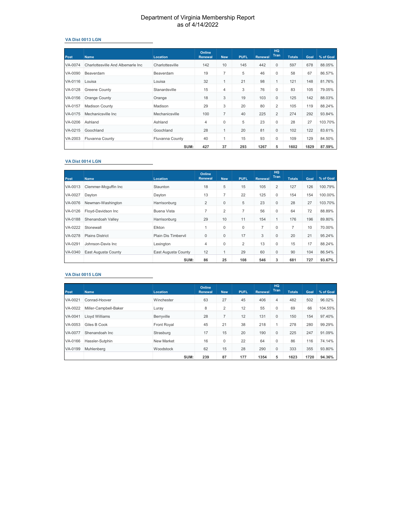#### **VA Dist 0013 LGN**

| <b>Post</b> | <b>Name</b>                        | Location               | Online<br><b>Renewal</b> | <b>New</b> | <b>PUFL</b> | <b>Renewal</b> | HQ<br>Tran     | <b>Totals</b> | Goal | % of Goal |
|-------------|------------------------------------|------------------------|--------------------------|------------|-------------|----------------|----------------|---------------|------|-----------|
| VA-0074     | Charlottesville And Albemarle Inc. | Charlottesville        | 142                      | 10         | 145         | 442            | $\mathbf{0}$   | 597           | 678  | 88.05%    |
| VA-0090     | Beaverdam                          | Beaverdam              | 19                       | 7          | 5           | 46             | 0              | 58            | 67   | 86.57%    |
| VA-0116     | Louisa                             | Louisa                 | 32                       | 1          | 21          | 98             | 1              | 121           | 148  | 81.76%    |
| VA-0128     | <b>Greene County</b>               | Stanardsville          | 15                       | 4          | 3           | 76             | 0              | 83            | 105  | 79.05%    |
| VA-0156     | Orange County                      | Orange                 | 18                       | 3          | 19          | 103            | $\mathbf{0}$   | 125           | 142  | 88.03%    |
| VA-0157     | <b>Madison County</b>              | Madison                | 29                       | 3          | 20          | 80             | 2              | 105           | 119  | 88.24%    |
| VA-0175     | Mechanicsville Inc.                | Mechanicsville         | 100                      | 7          | 40          | 225            | $\overline{2}$ | 274           | 292  | 93.84%    |
| VA-0206     | Ashland                            | Ashland                | 4                        | 0          | 5           | 23             | 0              | 28            | 27   | 103.70%   |
| VA-0215     | Goochland                          | Goochland              | 28                       | 1          | 20          | 81             | $\mathbf{0}$   | 102           | 122  | 83.61%    |
| VA-2003     | <b>Fluvanna County</b>             | <b>Fluvanna County</b> | 40                       | 1          | 15          | 93             | 0              | 109           | 129  | 84.50%    |
|             |                                    | SUM:                   | 427                      | 37         | 293         | 1267           | 5              | 1602          | 1829 | 87.59%    |

#### **VA Dist 0014 LGN**

| <b>Post</b> | <b>Name</b>            | <b>Location</b>     | Online<br><b>Renewal</b> | <b>New</b> | <b>PUFL</b>  | <b>Renewal</b> | <b>HQ</b><br><b>Tran</b> | <b>Totals</b>  | Goal | % of Goal |
|-------------|------------------------|---------------------|--------------------------|------------|--------------|----------------|--------------------------|----------------|------|-----------|
| VA-0013     | Clemmer-Mcguffin Inc   | Staunton            | 18                       | 5          | 15           | 105            | $\overline{2}$           | 127            | 126  | 100.79%   |
| VA-0027     | Davton                 | Dayton              | 13                       | 7          | 22           | 125            | $\mathbf 0$              | 154            | 154  | 100.00%   |
| VA-0076     | Newman-Washington      | Harrisonburg        | $\overline{2}$           | 0          | 5            | 23             | $\mathbf{0}$             | 28             | 27   | 103.70%   |
| VA-0126     | Floyd-Davidson Inc     | Buena Vista         | $\overline{7}$           | 2          | 7            | 56             | $\mathbf 0$              | 64             | 72   | 88.89%    |
| VA-0188     | Shenandoah Valley      | Harrisonburg        | 29                       | 10         | 11           | 154            | $\mathbf{1}$             | 176            | 196  | 89.80%    |
| VA-0222     | Stonewall              | Elkton              |                          | 0          | $\mathbf{0}$ | 7              | 0                        | $\overline{7}$ | 10   | 70.00%    |
| VA-0278     | <b>Plains District</b> | Plain Dis Timbervil | $\mathbf 0$              | 0          | 17           | 3              | $\mathbf{0}$             | 20             | 21   | 95.24%    |
| VA-0291     | Johnson-Davis Inc.     | Lexington           | 4                        | 0          | 2            | 13             | $\mathbf 0$              | 15             | 17   | 88.24%    |
| VA-0340     | East Augusta County    | East Augusta County | 12                       | 1          | 29           | 60             | $\mathbf{0}$             | 90             | 104  | 86.54%    |
|             |                        | SUM:                | 86                       | 25         | 108          | 546            | 3                        | 681            | 727  | 93.67%    |

#### **VA Dist 0015 LGN**

| <b>Post</b> | <b>Name</b>           | <b>Location</b> | Online<br><b>Renewal</b> | <b>New</b> | <b>PUFL</b> | <b>Renewal</b> | HQ<br>Tran     | <b>Totals</b> | Goal | % of Goal |
|-------------|-----------------------|-----------------|--------------------------|------------|-------------|----------------|----------------|---------------|------|-----------|
|             |                       |                 |                          |            |             |                |                |               |      |           |
| VA-0021     | Conrad-Hoover         | Winchester      | 63                       | 27         | 45          | 406            | $\overline{4}$ | 482           | 502  | 96.02%    |
| VA-0022     | Miller-Campbell-Baker | Luray           | 8                        | 2          | 12          | 55             | 0              | 69            | 66   | 104.55%   |
| VA-0041     | Llovd Williams        | Berryville      | 28                       | 7          | 12          | 131            | $\mathbf{0}$   | 150           | 154  | 97.40%    |
| VA-0053     | Giles B Cook          | Front Royal     | 45                       | 21         | 38          | 218            |                | 278           | 280  | 99.29%    |
| VA-0077     | Shenandoah Inc        | Strasburg       | 17                       | 15         | 20          | 190            | $\Omega$       | 225           | 247  | 91.09%    |
| VA-0166     | Hassler-Sutphin       | New Market      | 16                       | 0          | 22          | 64             | 0              | 86            | 116  | 74.14%    |
| VA-0199     | Muhlenberg            | Woodstock       | 62                       | 15         | 28          | 290            | $\mathbf 0$    | 333           | 355  | 93.80%    |
|             |                       | SUM:            | 239                      | 87         | 177         | 1354           | 5              | 1623          | 1720 | 94.36%    |